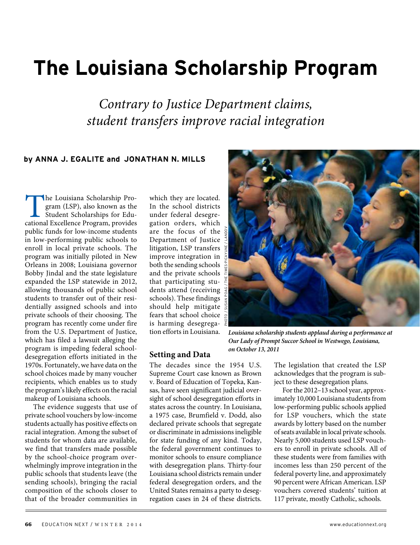# **The Louisiana Scholarship Program**

*Contrary to Justice Department claims, student transfers improve racial integration*

#### **by ANNA J. EGALITE and JONATHAN N. MILLS**

The Louisiana Scholarship Program (LSP), also known as the Student Scholarships for Educational Excellence Program, provides public funds for low-income students in low-performing public schools to enroll in local private schools. The program was initially piloted in New Orleans in 2008; Louisiana governor Bobby Jindal and the state legislature expanded the LSP statewide in 2012, allowing thousands of public school students to transfer out of their residentially assigned schools and into private schools of their choosing. The program has recently come under fire from the U.S. Department of Justice, which has filed a lawsuit alleging the program is impeding federal schooldesegregation efforts initiated in the 1970s. Fortunately, we have data on the school choices made by many voucher recipients, which enables us to study the program's likely effects on the racial makeup of Louisiana schools.

The evidence suggests that use of private school vouchers by low-income students actually has positive effects on racial integration. Among the subset of students for whom data are available, we find that transfers made possible by the school-choice program overwhelmingly improve integration in the public schools that students leave (the sending schools), bringing the racial composition of the schools closer to that of the broader communities in

which they are located. In the school districts under federal desegregation orders, which are the focus of the Department of Justice litigation, LSP transfers improve integration in both the sending schools and the private schools that participating students attend (receiving schools). These findings should help mitigate fears that school choice is harming desegregation efforts in Louisiana.

### **Setting and Data**

The decades since the 1954 U.S. Supreme Court case known as Brown v. Board of Education of Topeka, Kansas, have seen significant judicial oversight of school desegregation efforts in states across the country. In Louisiana, a 1975 case, Brumfield v. Dodd, also declared private schools that segregate or discriminate in admissions ineligible for state funding of any kind. Today, the federal government continues to monitor schools to ensure compliance with desegregation plans. Thirty-four Louisiana school districts remain under federal desegregation orders, and the United States remains a party to desegregation cases in 24 of these districts.



*Louisiana scholarship students applaud during a performance at Our Lady of Prompt Succor School in Westwego, Louisiana, on October 13, 2011*

The legislation that created the LSP acknowledges that the program is subject to these desegregation plans.

For the 2012–13 school year, approximately 10,000 Louisiana students from low-performing public schools applied for LSP vouchers, which the state awards by lottery based on the number of seats available in local private schools. Nearly 5,000 students used LSP vouchers to enroll in private schools. All of these students were from families with incomes less than 250 percent of the federal poverty line, and approximately 90 percent were African American. LSP vouchers covered students' tuition at 117 private, mostly Catholic, schools.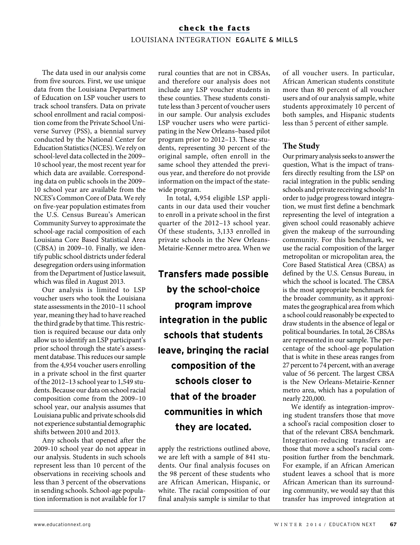# **check the facts** LOUISIANA INTEGRATION EGALITE & MILLS

The data used in our analysis come from five sources. First, we use unique data from the Louisiana Department of Education on LSP voucher users to track school transfers. Data on private school enrollment and racial composition come from the Private School Universe Survey (PSS), a biennial survey conducted by the National Center for Education Statistics (NCES). We rely on school-level data collected in the 2009– 10 school year, the most recent year for which data are available. Corresponding data on public schools in the 2009– 10 school year are available from the NCES's Common Core of Data. We rely on five-year population estimates from the U.S. Census Bureau's American Community Survey to approximate the school-age racial composition of each Louisiana Core Based Statistical Area (CBSA) in 2009–10. Finally, we identify public school districts under federal desegregation orders using information from the Department of Justice lawsuit, which was filed in August 2013.

Our analysis is limited to LSP voucher users who took the Louisiana state assessments in the 2010–11 school year, meaning they had to have reached the third grade by that time. This restriction is required because our data only allow us to identify an LSP participant's prior school through the state's assessment database. This reduces our sample from the 4,954 voucher users enrolling in a private school in the first quarter of the 2012–13 school year to 1,549 students. Because our data on school racial composition come from the 2009–10 school year, our analysis assumes that Louisiana public and private schools did not experience substantial demographic shifts between 2010 and 2013.

Any schools that opened after the 2009-10 school year do not appear in our analysis. Students in such schools represent less than 10 percent of the observations in receiving schools and less than 3 percent of the observations in sending schools. School-age population information is not available for 17

rural counties that are not in CBSAs, and therefore our analysis does not include any LSP voucher students in these counties. These students constitute less than 3 percent of voucher users in our sample. Our analysis excludes LSP voucher users who were participating in the New Orleans–based pilot program prior to 2012–13. These students, representing 30 percent of the original sample, often enroll in the same school they attended the previous year, and therefore do not provide information on the impact of the statewide program.

In total, 4,954 eligible LSP applicants in our data used their voucher to enroll in a private school in the first quarter of the 2012–13 school year. Of these students, 3,133 enrolled in private schools in the New Orleans-Metairie-Kenner metro area. When we

**Transfers made possible by the school-choice program improve integration in the public schools that students leave, bringing the racial composition of the schools closer to that of the broader communities in which they are located.**

apply the restrictions outlined above, we are left with a sample of 841 students. Our final analysis focuses on the 98 percent of these students who are African American, Hispanic, or white. The racial composition of our final analysis sample is similar to that of all voucher users. In particular, African American students constitute more than 80 percent of all voucher users and of our analysis sample, white students approximately 10 percent of both samples, and Hispanic students less than 5 percent of either sample.

# **The Study**

Our primary analysis seeks to answer the question, What is the impact of transfers directly resulting from the LSP on racial integration in the public sending schools and private receiving schools? In order to judge progress toward integration, we must first define a benchmark representing the level of integration a given school could reasonably achieve given the makeup of the surrounding community. For this benchmark, we use the racial composition of the larger metropolitan or micropolitan area, the Core Based Statistical Area (CBSA) as defined by the U.S. Census Bureau, in which the school is located. The CBSA is the most appropriate benchmark for the broader community, as it approximates the geographical area from which a school could reasonably be expected to draw students in the absence of legal or political boundaries. In total, 26 CBSAs are represented in our sample. The percentage of the school-age population that is white in these areas ranges from 27 percent to 74 percent, with an average value of 56 percent. The largest CBSA is the New Orleans-Metairie-Kenner metro area, which has a population of nearly 220,000.

We identify as integration-improving student transfers those that move a school's racial composition closer to that of the relevant CBSA benchmark. Integration-reducing transfers are those that move a school's racial composition further from the benchmark. For example, if an African American student leaves a school that is more African American than its surrounding community, we would say that this transfer has improved integration at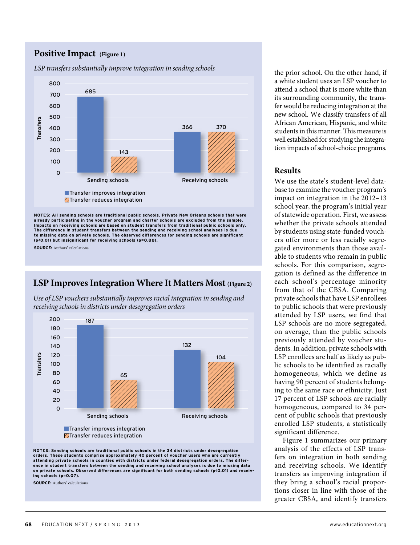## **Positive Impact (Figure 1)**

*LSP transfers substantially improve integration in sending schools* 



**NOTES: All sending schools are traditional public schools. Private New Orleans schools that were already participating in the voucher program and charter schools are excluded from the sample. Impacts on receiving schools are based on student transfers from traditional public schools only. The difference in student transfers between the sending and receiving school analyses is due to missing data on private schools. The observed differences for sending schools are significant (p<0.01) but insignificant for receiving schools (p=0.88).**

**SOURCE:** Authors' calculations

## **LSP Improves Integration Where It Matters Most (Figure 2)**

*Use of LSP vouchers substantially improves racial integration in sending and receiving schools in districts under desegregation orders*



**NOTES: Sending schools are traditional public schools in the 34 districts under desegregation orders. These students comprise approximately 40 percent of voucher users who are currently attending private schools in counties with districts under federal desegregation orders. The difference in student transfers between the sending and receiving school analyses is due to missing data on private schools. Observed differences are significant for both sending schools (p<0.01) and receiving schools (p=0.07).** 

**SOURCE:** Authors' calculations

the prior school. On the other hand, if a white student uses an LSP voucher to attend a school that is more white than its surrounding community, the transfer would be reducing integration at the new school. We classify transfers of all African American, Hispanic, and white students in this manner. This measure is well established for studying the integration impacts of school-choice programs.

#### **Results**

We use the state's student-level database to examine the voucher program's impact on integration in the 2012–13 school year, the program's initial year of statewide operation. First, we assess whether the private schools attended by students using state-funded vouchers offer more or less racially segregated environments than those available to students who remain in public schools. For this comparison, segregation is defined as the difference in each school's percentage minority from that of the CBSA. Comparing private schools that have LSP enrollees to public schools that were previously attended by LSP users, we find that LSP schools are no more segregated, on average, than the public schools previously attended by voucher students. In addition, private schools with LSP enrollees are half as likely as public schools to be identified as racially homogeneous, which we define as having 90 percent of students belonging to the same race or ethnicity. Just 17 percent of LSP schools are racially homogeneous, compared to 34 percent of public schools that previously enrolled LSP students, a statistically significant difference.

Figure 1 summarizes our primary analysis of the effects of LSP transfers on integration in both sending and receiving schools. We identify transfers as improving integration if they bring a school's racial proportions closer in line with those of the greater CBSA, and identify transfers